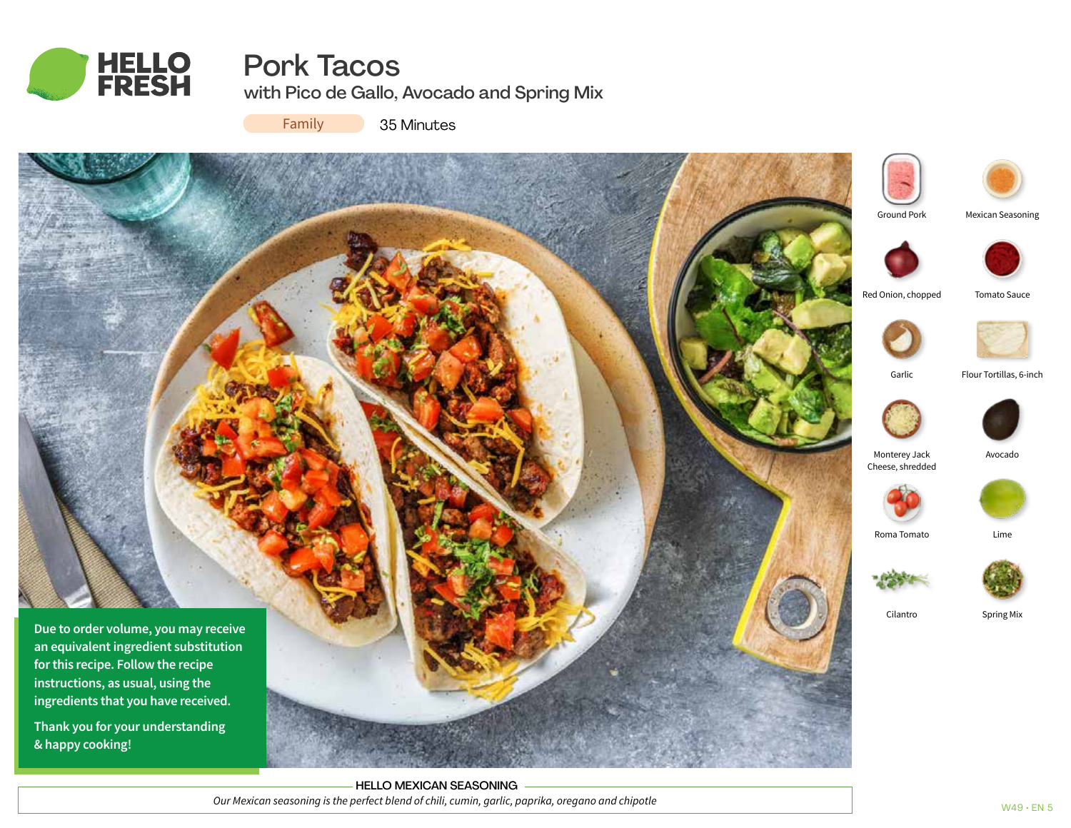

# Pork Tacos

with Pico de Gallo, Avocado and Spring Mix

Family

35 Minutes





Mexican Seasoning





Garlic Flour Tortillas, 6-inch



Monterey Jack Avocado Cheese, shredded



Roma Tomato Lime



Cilantro Spring Mix

HELLO MEXICAN SEASONING *Our Mexican seasoning is the perfect blend of chili, cumin, garlic, paprika, oregano and chipotle*